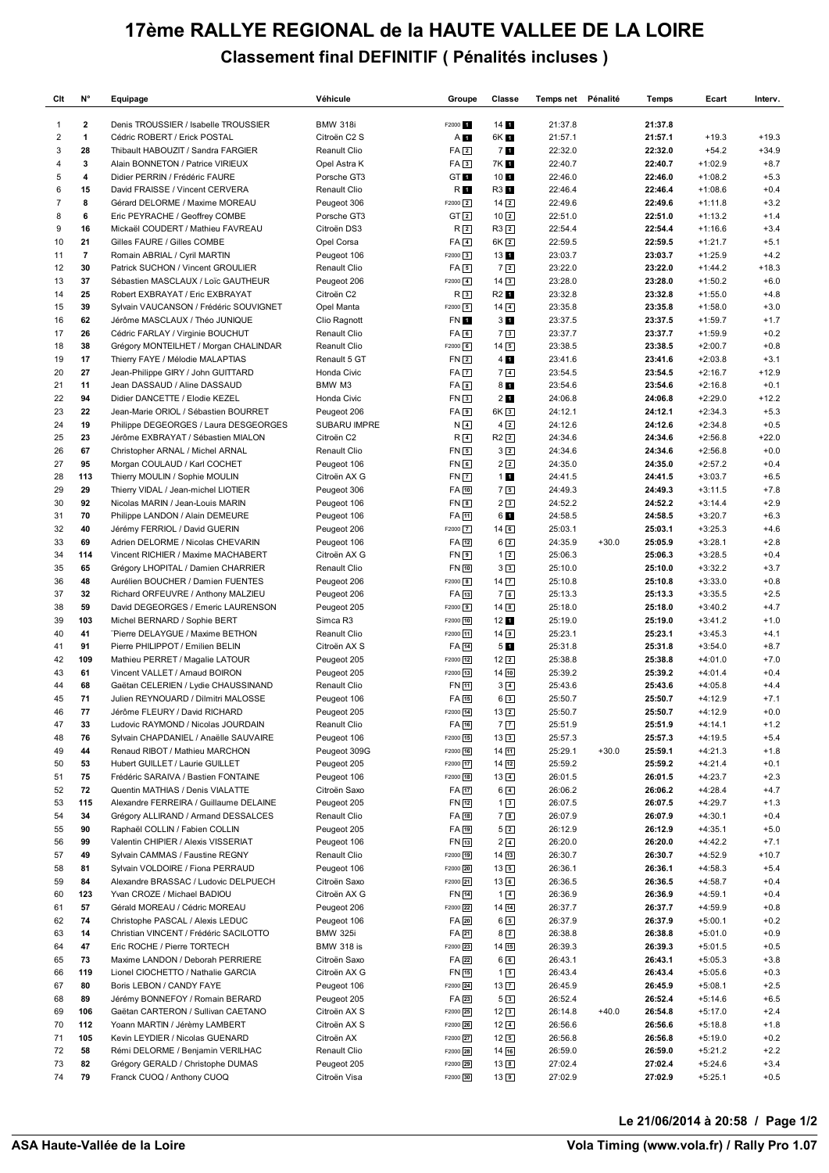## **17ème RALLYE REGIONAL de la HAUTE VALLEE DE LA LOIRE Classement final DEFINITIF ( Pénalités incluses )**

| Clt            | N°                      | Equipage                                                             | Véhicule                     | Groupe               | Classe                           | Temps net Pénalité |         | Temps              | Ecart                  | Interv.          |
|----------------|-------------------------|----------------------------------------------------------------------|------------------------------|----------------------|----------------------------------|--------------------|---------|--------------------|------------------------|------------------|
| 1              | $\overline{2}$          | Denis TROUSSIER / Isabelle TROUSSIER                                 | <b>BMW 318i</b>              | F2000 f              | $14$ $\blacksquare$              | 21:37.8            |         | 21:37.8            |                        |                  |
| $\overline{2}$ | 1                       | Cédric ROBERT / Erick POSTAL                                         | Citroën C2 S                 | A <b>T</b>           | 6K 1                             | 21:57.1            |         | 21:57.1            | $+19.3$                | $+19.3$          |
| 3              | 28                      | Thibault HABOUZIT / Sandra FARGIER                                   | Reanult Clio                 | FA <sub>2</sub>      | 71                               | 22:32.0            |         | 22:32.0            | $+54.2$                | $+34.9$          |
| 4              | 3                       | Alain BONNETON / Patrice VIRIEUX                                     | Opel Astra K                 | FA <sub>3</sub>      | 7K 1                             | 22:40.7            |         | 22:40.7            | $+1:02.9$              | $+8.7$           |
| 5              | $\overline{\mathbf{4}}$ | Didier PERRIN / Frédéric FAURE                                       | Porsche GT3                  | GT 1                 | 10 <sub>1</sub>                  | 22:46.0            |         | 22:46.0            | $+1:08.2$              | $+5.3$           |
| 6              | 15                      | David FRAISSE / Vincent CERVERA                                      | Renault Clio                 | R O                  | R3 1                             | 22:46.4            |         | 22:46.4            | $+1:08.6$              | $+0.4$           |
| $\overline{7}$ | 8                       | Gérard DELORME / Maxime MOREAU                                       | Peugeot 306                  | $F2000$ 2            | $14\sqrt{2}$                     | 22:49.6            |         | 22:49.6            | $+1:11.8$              | $+3.2$           |
| 8              | 6                       | Eric PEYRACHE / Geoffrey COMBE                                       | Porsche GT3                  | GT <sub>2</sub>      | $10\sqrt{2}$                     | 22:51.0            |         | 22:51.0            | $+1:13.2$              | $+1.4$           |
| 9              | 16                      | Mickaël COUDERT / Mathieu FAVREAU                                    | Citroën DS3                  | R <sub>2</sub>       | $R3$ 2                           | 22:54.4            |         | 22:54.4            | $+1:16.6$              | $+3.4$           |
| 10             | 21                      | Gilles FAURE / Gilles COMBE                                          | Opel Corsa                   | $FA$ <sub>4</sub>    | 6K <sub>2</sub>                  | 22:59.5            |         | 22:59.5            | $+1:21.7$              | $+5.1$           |
| 11             | $\overline{7}$          | Romain ABRIAL / Cyril MARTIN                                         | Peugeot 106                  | $F2000$ 3            | 131                              | 23:03.7            |         | 23:03.7            | $+1:25.9$              | $+4.2$           |
| 12             | 30                      | Patrick SUCHON / Vincent GROULIER                                    | Renault Clio                 | $FA$ 5               | $7\sqrt{2}$                      | 23:22.0            |         | 23:22.0            | $+1:44.2$              | $+18.3$          |
| 13             | 37                      | Sébastien MASCLAUX / Loïc GAUTHEUR                                   | Peugeot 206                  | $F2000$ 4            | $14\sqrt{3}$                     | 23:28.0            |         | 23:28.0            | $+1:50.2$              | $+6.0$           |
| 14             | 25                      | Robert EXBRAYAT / Eric EXBRAYAT                                      | Citroën C2                   | R <sub>3</sub>       | R2 1                             | 23:32.8            |         | 23:32.8            | $+1:55.0$              | $+4.8$           |
| 15             | 39                      | Sylvain VAUCANSON / Frédéric SOUVIGNET                               | Opel Manta                   | $F2000$ 5            | $14\sqrt{4}$                     | 23:35.8            |         | 23:35.8            | $+1:58.0$              | $+3.0$           |
| 16<br>17       | 62<br>26                | Jérôme MASCLAUX / Théo JUNIQUE<br>Cédric FARLAY / Virginie BOUCHUT   | Clio Ragnott<br>Renault Clio | FN 1<br>FA6          | 3 <sub>1</sub><br>7 <sub>3</sub> | 23:37.5<br>23:37.7 |         | 23:37.5<br>23:37.7 | $+1:59.7$<br>$+1:59.9$ | $+1.7$<br>$+0.2$ |
| 18             | 38                      | Grégory MONTEILHET / Morgan CHALINDAR                                | Reanult Clio                 | $F2000$ 6            | $14\overline{5}$                 | 23:38.5            |         | 23:38.5            | $+2:00.7$              | $+0.8$           |
| 19             | 17                      | Thierry FAYE / Mélodie MALAPTIAS                                     | Renault 5 GT                 | FN <sub>2</sub>      | 4 <sub>1</sub>                   | 23:41.6            |         | 23:41.6            | $+2:03.8$              | $+3.1$           |
| 20             | 27                      | Jean-Philippe GIRY / John GUITTARD                                   | Honda Civic                  | FA <sub>7</sub>      | 7 <sub>4</sub>                   | 23:54.5            |         | 23:54.5            | $+2:16.7$              | $+12.9$          |
| 21             | 11                      | Jean DASSAUD / Aline DASSAUD                                         | BMW M3                       | $FA$ $8$             | 81                               | 23:54.6            |         | 23:54.6            | $+2:16.8$              | $+0.1$           |
| 22             | 94                      | Didier DANCETTE / Elodie KEZEL                                       | Honda Civic                  | FN <sub>3</sub>      | 2 <sub>1</sub>                   | 24:06.8            |         | 24:06.8            | $+2:29.0$              | $+12.2$          |
| 23             | 22                      | Jean-Marie ORIOL / Sébastien BOURRET                                 | Peugeot 206                  | FA <sub>9</sub>      | 6K <sub>3</sub>                  | 24:12.1            |         | 24:12.1            | $+2:34.3$              | $+5.3$           |
| 24             | 19                      | Philippe DEGEORGES / Laura DESGEORGES                                | <b>SUBARU IMPRE</b>          | N <sub>4</sub>       | $4\overline{2}$                  | 24:12.6            |         | 24:12.6            | $+2:34.8$              | $+0.5$           |
| 25             | 23                      | Jérôme EXBRAYAT / Sébastien MIALON                                   | Citroën C2                   | R <sub>4</sub>       | $R2$ $2$                         | 24:34.6            |         | 24:34.6            | $+2:56.8$              | $+22.0$          |
| 26             | 67                      | Christopher ARNAL / Michel ARNAL                                     | Renault Clio                 | FN <sub>5</sub>      | 3 <sub>2</sub>                   | 24:34.6            |         | 24:34.6            | $+2:56.8$              | $+0.0$           |
| 27             | 95                      | Morgan COULAUD / Karl COCHET                                         | Peugeot 106                  | FN 6                 | 2 <sub>2</sub>                   | 24:35.0            |         | 24:35.0            | $+2:57.2$              | $+0.4$           |
| 28             | 113                     | Thierry MOULIN / Sophie MOULIN                                       | Citroën AX G                 | <b>FN7</b>           | 11                               | 24:41.5            |         | 24:41.5            | $+3:03.7$              | $+6.5$           |
| 29             | 29                      | Thierry VIDAL / Jean-michel LIOTIER                                  | Peugeot 306                  | FA 10                | 75                               | 24:49.3            |         | 24:49.3            | $+3:11.5$              | $+7.8$           |
| 30             | 92                      | Nicolas MARIN / Jean-Louis MARIN                                     | Peugeot 106                  | FN 8                 | 23                               | 24:52.2            |         | 24:52.2            | $+3:14.4$              | $+2.9$           |
| 31             | 70                      | Philippe LANDON / Alain DEMEURE                                      | Peugeot 106                  | FA 11                | 6 1                              | 24:58.5            |         | 24:58.5            | $+3:20.7$              | $+6.3$           |
| 32             | 40                      | Jérémy FERRIOL / David GUERIN                                        | Peugeot 206                  | F2000 7              | $14$ 6                           | 25:03.1            |         | 25:03.1            | $+3:25.3$              | $+4.6$           |
| 33             | 69                      | Adrien DELORME / Nicolas CHEVARIN                                    | Peugeot 106                  | FA 12                | 6 <sub>2</sub>                   | 24:35.9            | $+30.0$ | 25:05.9            | $+3:28.1$              | $+2.8$           |
| 34             | 114                     | Vincent RICHIER / Maxime MACHABERT                                   | Citroën AX G                 | FN <sub>9</sub>      | $1\overline{2}$                  | 25:06.3            |         | 25:06.3            | $+3:28.5$              | $+0.4$           |
| 35             | 65                      | Grégory LHOPITAL / Damien CHARRIER                                   | Renault Clio                 | FN 10                | 33                               | 25:10.0            |         | 25:10.0            | $+3:32.2$              | $+3.7$           |
| 36             | 48                      | Aurélien BOUCHER / Damien FUENTES                                    | Peugeot 206                  | F2000 8              | $14$ $\overline{7}$              | 25:10.8            |         | 25:10.8            | $+3:33.0$              | $+0.8$           |
| 37             | 32                      | Richard ORFEUVRE / Anthony MALZIEU                                   | Peugeot 206                  | FA 13                | 76                               | 25:13.3            |         | 25:13.3            | $+3:35.5$              | $+2.5$           |
| 38             | 59                      | David DEGEORGES / Emeric LAURENSON                                   | Peugeot 205                  | F2000 9              | $14$ $8$                         | 25:18.0            |         | 25:18.0            | $+3:40.2$              | $+4.7$           |
| 39             | 103                     | Michel BERNARD / Sophie BERT                                         | Simca R3                     | F2000 10             | 12 <sub>1</sub>                  | 25:19.0            |         | 25:19.0            | $+3:41.2$              | $+1.0$           |
| 40             | 41                      | "Pierre DELAYGUE / Maxime BETHON                                     | Reanult Clio                 | F2000 11             | 149                              | 25:23.1            |         | 25:23.1            | $+3:45.3$              | $+4.1$           |
| 41             | 91                      | Pierre PHILIPPOT / Emilien BELIN                                     | Citroën AX S                 | FA 14                | 51                               | 25:31.8            |         | 25:31.8            | $+3:54.0$              | $+8.7$           |
| 42             | 109                     | Mathieu PERRET / Magalie LATOUR                                      | Peugeot 205                  | F2000 12             | $12\sqrt{2}$                     | 25:38.8            |         | 25:38.8            | $+4:01.0$              | $+7.0$           |
| 43             | 61                      | Vincent VALLET / Arnaud BOIRON                                       | Peugeot 205                  | F2000 13             | 1410                             | 25:39.2            |         | 25:39.2            | $+4:01.4$              | $+0.4$           |
| 44             | 68<br>71                | Gaëtan CELERIEN / Lydie CHAUSSINAND                                  | Renault Clio                 | FN 11                | $3\sqrt{4}$                      | 25:43.6            |         | 25:43.6            | $+4:05.8$              | $+4.4$           |
| 45<br>46       | 77                      | Julien REYNOUARD / Dilmitri MALOSSE<br>Jérôme FLEURY / David RICHARD | Peugeot 106                  | FA 15<br>F2000 14    | $6\sqrt{3}$<br>$13\overline{2}$  | 25:50.7<br>25:50.7 |         | 25:50.7<br>25:50.7 | $+4:12.9$<br>$+4:12.9$ | $+7.1$<br>$+0.0$ |
| 47             | 33                      | Ludovic RAYMOND / Nicolas JOURDAIN                                   | Peugeot 205<br>Reanult Clio  | FA 16                | 7 <sub>7</sub>                   | 25:51.9            |         | 25:51.9            | $+4:14.1$              | $+1.2$           |
| 48             | 76                      | Sylvain CHAPDANIEL / Anaëlle SAUVAIRE                                | Peugeot 106                  | F2000 15             | $13\overline{3}$                 | 25:57.3            |         | 25:57.3            | $+4:19.5$              | $+5.4$           |
| 49             | 44                      | Renaud RIBOT / Mathieu MARCHON                                       | Peugeot 309G                 | F2000 16             | $14$ $11$                        | 25:29.1            | $+30.0$ | 25:59.1            | $+4:21.3$              | $+1.8$           |
| 50             | 53                      | Hubert GUILLET / Laurie GUILLET                                      | Peugeot 205                  | F2000 17             | $14$ $12$                        | 25:59.2            |         | 25:59.2            | $+4:21.4$              | $+0.1$           |
| 51             | 75                      | Frédéric SARAIVA / Bastien FONTAINE                                  | Peugeot 106                  | F2000 18             | $13\sqrt{4}$                     | 26:01.5            |         | 26:01.5            | $+4:23.7$              | $+2.3$           |
| 52             | 72                      | Quentin MATHIAS / Denis VIALATTE                                     | Citroën Saxo                 | FA 17                | $6\sqrt{4}$                      | 26:06.2            |         | 26:06.2            | $+4:28.4$              | $+4.7$           |
| 53             | 115                     | Alexandre FERREIRA / Guillaume DELAINE                               | Peugeot 205                  | FN [12]              | $1\sqrt{3}$                      | 26:07.5            |         | 26:07.5            | $+4:29.7$              | $+1.3$           |
| 54             | 34                      | Grégory ALLIRAND / Armand DESSALCES                                  | Renault Clio                 | FA [18]              | 78                               | 26:07.9            |         | 26:07.9            | $+4:30.1$              | $+0.4$           |
| 55             | 90                      | Raphaël COLLIN / Fabien COLLIN                                       | Peugeot 205                  | FA [19]              | $5\sqrt{2}$                      | 26:12.9            |         | 26:12.9            | $+4:35.1$              | $+5.0$           |
| 56             | 99                      | Valentin CHIPIER / Alexis VISSERIAT                                  | Peugeot 106                  | FN [13]              | $2\sqrt{4}$                      | 26:20.0            |         | 26:20.0            | $+4:42.2$              | $+7.1$           |
| 57             | 49                      | Sylvain CAMMAS / Faustine REGNY                                      | Renault Clio                 | F2000 19             | $14$ $13$                        | 26:30.7            |         | 26:30.7            | $+4:52.9$              | $+10.7$          |
| 58             | 81                      | Sylvain VOLDOIRE / Fiona PERRAUD                                     | Peugeot 106                  | F2000 20             | $13\boxed{5}$                    | 26:36.1            |         | 26:36.1            | $+4:58.3$              | $+5.4$           |
| 59             | 84                      | Alexandre BRASSAC / Ludovic DELPUECH                                 | Citroën Saxo                 | F2000 21             | $13$ 6                           | 26:36.5            |         | 26:36.5            | $+4:58.7$              | $+0.4$           |
| 60             | 123                     | Yvan CROZE / Michael BADIOU                                          | Citroën AX G                 | FN [14]              | $1\sqrt{4}$                      | 26:36.9            |         | 26:36.9            | $+4:59.1$              | $+0.4$           |
| 61             | 57                      | Gérald MOREAU / Cédric MOREAU                                        | Peugeot 206                  | F2000 22             | $14\sqrt{14}$                    | 26:37.7            |         | 26:37.7            | $+4:59.9$              | $+0.8$           |
| 62             | 74                      | Christophe PASCAL / Alexis LEDUC                                     | Peugeot 106                  | FA 20                | $6\sqrt{5}$                      | 26:37.9            |         | 26:37.9            | $+5:00.1$              | $+0.2$           |
| 63             | 14                      | Christian VINCENT / Frédéric SACILOTTO                               | <b>BMW 325i</b>              | FA21                 | $8\sqrt{2}$                      | 26:38.8            |         | 26:38.8            | $+5:01.0$              | $+0.9$           |
| 64             | 47                      | Eric ROCHE / Pierre TORTECH                                          | <b>BMW 318 is</b>            | F2000 23             | $14$ $15$                        | 26:39.3            |         | 26:39.3            | $+5:01.5$              | $+0.5$           |
| 65             | 73                      | Maxime LANDON / Deborah PERRIERE                                     | Citroën Saxo                 | FA 22                | 66                               | 26:43.1            |         | 26:43.1            | $+5:05.3$              | $+3.8$           |
| 66             | 119                     | Lionel CIOCHETTO / Nathalie GARCIA                                   | Citroën AX G                 | FN [15]              | $1\sqrt{5}$                      | 26:43.4            |         | 26:43.4            | $+5:05.6$              | $+0.3$           |
| 67             | 80                      | Boris LEBON / CANDY FAYE                                             | Peugeot 106                  | F2000 24             | $13\sqrt{7}$                     | 26:45.9            |         | 26:45.9            | $+5:08.1$              | $+2.5$           |
| 68             | 89                      | Jérémy BONNEFOY / Romain BERARD                                      | Peugeot 205                  | FA 23                | 53                               | 26:52.4            |         | 26:52.4            | $+5:14.6$              | $+6.5$           |
| 69<br>70       | 106<br>112              | Gaëtan CARTERON / Sullivan CAETANO<br>Yoann MARTIN / Jérèmy LAMBERT  | Citroën AX S<br>Citroën AX S | F2000 25<br>F2000 26 | $12\sqrt{3}$<br>$12\sqrt{4}$     | 26:14.8<br>26:56.6 | $+40.0$ | 26:54.8<br>26:56.6 | $+5:17.0$<br>$+5:18.8$ | $+2.4$<br>$+1.8$ |
| 71             | 105                     | Kevin LEYDIER / Nicolas GUENARD                                      | Citroën AX                   | F2000 27             | $12\sqrt{5}$                     | 26:56.8            |         | 26:56.8            | $+5:19.0$              | $+0.2$           |
| 72             | 58                      | Rémi DELORME / Benjamin VERILHAC                                     | Renault Clio                 | F2000 28             | $14$ 16                          | 26:59.0            |         | 26:59.0            | $+5:21.2$              | $+2.2$           |
| 73             | 82                      | Grégory GERALD / Christophe DUMAS                                    | Peugeot 205                  | F2000 29             | $13\boxed{8}$                    | 27:02.4            |         | 27:02.4            | $+5:24.6$              | $+3.4$           |
| 74             | 79                      | Franck CUOQ / Anthony CUOQ                                           | Citroën Visa                 | F2000 30             | $13$ 9                           | 27:02.9            |         | 27:02.9            | $+5:25.1$              | $+0.5$           |
|                |                         |                                                                      |                              |                      |                                  |                    |         |                    |                        |                  |

**Le 21/06/2014 à 20:58 / Page 1/2**